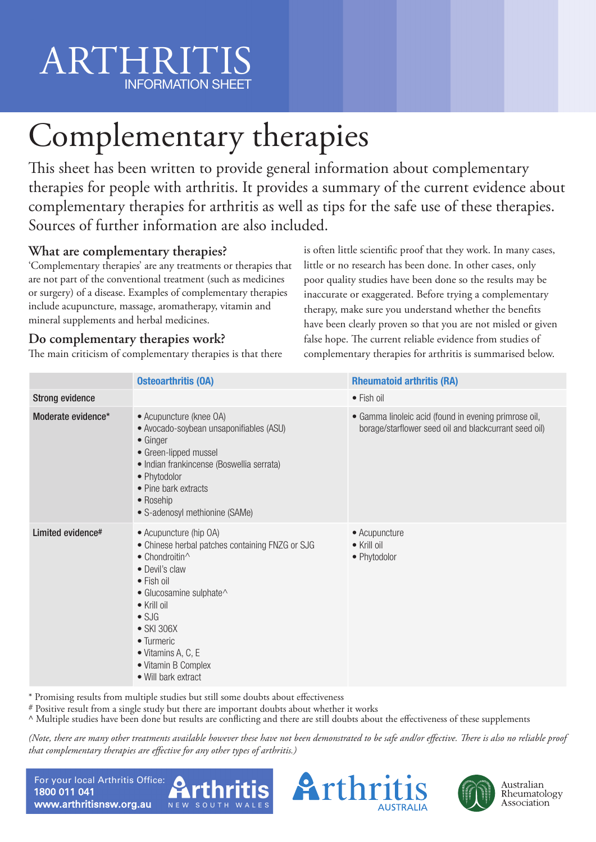# ARTHRITIS INFORMATION SHEET

# Complementary therapies

This sheet has been written to provide general information about complementary therapies for people with arthritis. It provides a summary of the current evidence about complementary therapies for arthritis as well as tips for the safe use of these therapies. Sources of further information are also included.

## **What are complementary therapies?**

'Complementary therapies' are any treatments or therapies that are not part of the conventional treatment (such as medicines or surgery) of a disease. Examples of complementary therapies include acupuncture, massage, aromatherapy, vitamin and mineral supplements and herbal medicines.

## **Do complementary therapies work?**

The main criticism of complementary therapies is that there

is often little scientific proof that they work. In many cases, little or no research has been done. In other cases, only poor quality studies have been done so the results may be inaccurate or exaggerated. Before trying a complementary therapy, make sure you understand whether the benefits have been clearly proven so that you are not misled or given false hope. The current reliable evidence from studies of complementary therapies for arthritis is summarised below.

|                        | <b>Osteoarthritis (OA)</b>                                                                                                                                                                                                                                                                                                     | <b>Rheumatoid arthritis (RA)</b>                                                                               |
|------------------------|--------------------------------------------------------------------------------------------------------------------------------------------------------------------------------------------------------------------------------------------------------------------------------------------------------------------------------|----------------------------------------------------------------------------------------------------------------|
| <b>Strong evidence</b> |                                                                                                                                                                                                                                                                                                                                | • Fish oil                                                                                                     |
| Moderate evidence*     | • Acupuncture (knee OA)<br>· Avocado-soybean unsaponifiables (ASU)<br>$\bullet$ Ginger<br>• Green-lipped mussel<br>· Indian frankincense (Boswellia serrata)<br>• Phytodolor<br>• Pine bark extracts<br>• Rosehip<br>• S-adenosyl methionine (SAMe)                                                                            | • Gamma linoleic acid (found in evening primrose oil,<br>borage/starflower seed oil and blackcurrant seed oil) |
| Limited evidence#      | • Acupuncture (hip OA)<br>• Chinese herbal patches containing FNZG or SJG<br>$\bullet$ Chondroitin $\wedge$<br>• Devil's claw<br>$\bullet$ Fish oil<br>• Glucosamine sulphate^<br>$\bullet$ Krill oil<br>$\bullet$ SJG<br>• SKI 306X<br>• Turmeric<br>$\bullet$ Vitamins A, C, E<br>• Vitamin B Complex<br>• Will bark extract | • Acupuncture<br>$\bullet$ Krill oil<br>• Phytodolor                                                           |

\* Promising results from multiple studies but still some doubts about effectiveness

# Positive result from a single study but there are important doubts about whether it works

^ Multiple studies have been done but results are conflicting and there are still doubts about the effectiveness of these supplements

*(Note, there are many other treatments available however these have not been demonstrated to be safe and/or effective. There is also no reliable proof that complementary therapies are effective for any other types of arthritis.)*